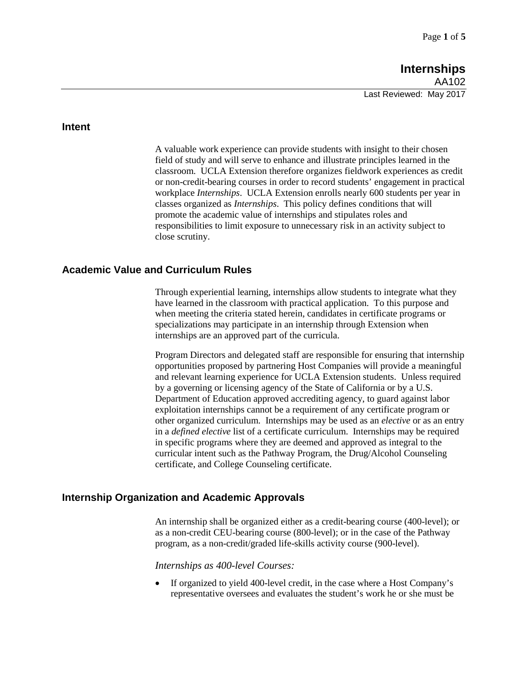### **Intent**

A valuable work experience can provide students with insight to their chosen field of study and will serve to enhance and illustrate principles learned in the classroom. UCLA Extension therefore organizes fieldwork experiences as credit or non-credit-bearing courses in order to record students' engagement in practical workplace *Internships*. UCLA Extension enrolls nearly 600 students per year in classes organized as *Internships*. This policy defines conditions that will promote the academic value of internships and stipulates roles and responsibilities to limit exposure to unnecessary risk in an activity subject to close scrutiny.

## **Academic Value and Curriculum Rules**

Through experiential learning, internships allow students to integrate what they have learned in the classroom with practical application. To this purpose and when meeting the criteria stated herein, candidates in certificate programs or specializations may participate in an internship through Extension when internships are an approved part of the curricula.

Program Directors and delegated staff are responsible for ensuring that internship opportunities proposed by partnering Host Companies will provide a meaningful and relevant learning experience for UCLA Extension students. Unless required by a governing or licensing agency of the State of California or by a U.S. Department of Education approved accrediting agency, to guard against labor exploitation internships cannot be a requirement of any certificate program or other organized curriculum. Internships may be used as an *elective* or as an entry in a *defined elective* list of a certificate curriculum. Internships may be required in specific programs where they are deemed and approved as integral to the curricular intent such as the Pathway Program, the Drug/Alcohol Counseling certificate, and College Counseling certificate.

### **Internship Organization and Academic Approvals**

An internship shall be organized either as a credit-bearing course (400-level); or as a non-credit CEU-bearing course (800-level); or in the case of the Pathway program, as a non-credit/graded life-skills activity course (900-level).

#### *Internships as 400-level Courses:*

• If organized to yield 400-level credit, in the case where a Host Company's representative oversees and evaluates the student's work he or she must be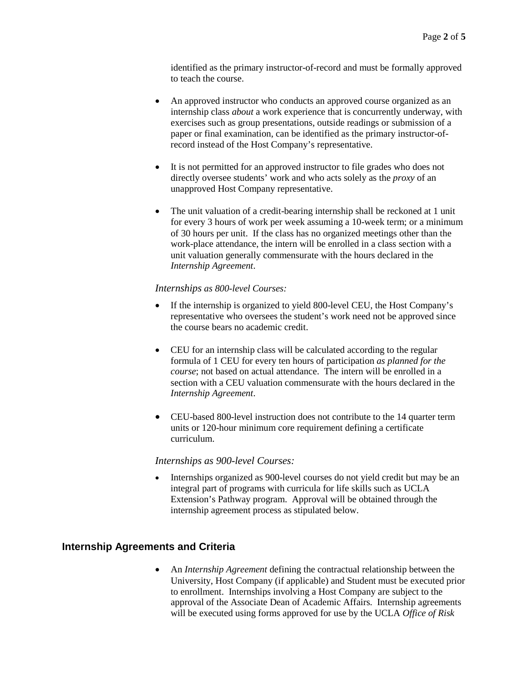identified as the primary instructor-of-record and must be formally approved to teach the course.

- An approved instructor who conducts an approved course organized as an internship class *about* a work experience that is concurrently underway, with exercises such as group presentations, outside readings or submission of a paper or final examination, can be identified as the primary instructor-ofrecord instead of the Host Company's representative.
- It is not permitted for an approved instructor to file grades who does not directly oversee students' work and who acts solely as the *proxy* of an unapproved Host Company representative.
- The unit valuation of a credit-bearing internship shall be reckoned at 1 unit for every 3 hours of work per week assuming a 10-week term; or a minimum of 30 hours per unit. If the class has no organized meetings other than the work-place attendance, the intern will be enrolled in a class section with a unit valuation generally commensurate with the hours declared in the *Internship Agreement*.

#### *Internships as 800-level Courses:*

- If the internship is organized to yield 800-level CEU, the Host Company's representative who oversees the student's work need not be approved since the course bears no academic credit.
- CEU for an internship class will be calculated according to the regular formula of 1 CEU for every ten hours of participation *as planned for the course*; not based on actual attendance. The intern will be enrolled in a section with a CEU valuation commensurate with the hours declared in the *Internship Agreement*.
- CEU-based 800-level instruction does not contribute to the 14 quarter term units or 120-hour minimum core requirement defining a certificate curriculum.

#### *Internships as 900-level Courses:*

• Internships organized as 900-level courses do not yield credit but may be an integral part of programs with curricula for life skills such as UCLA Extension's Pathway program. Approval will be obtained through the internship agreement process as stipulated below.

## **Internship Agreements and Criteria**

• An *Internship Agreement* defining the contractual relationship between the University, Host Company (if applicable) and Student must be executed prior to enrollment. Internships involving a Host Company are subject to the approval of the Associate Dean of Academic Affairs. Internship agreements will be executed using forms approved for use by the UCLA *Office of Risk*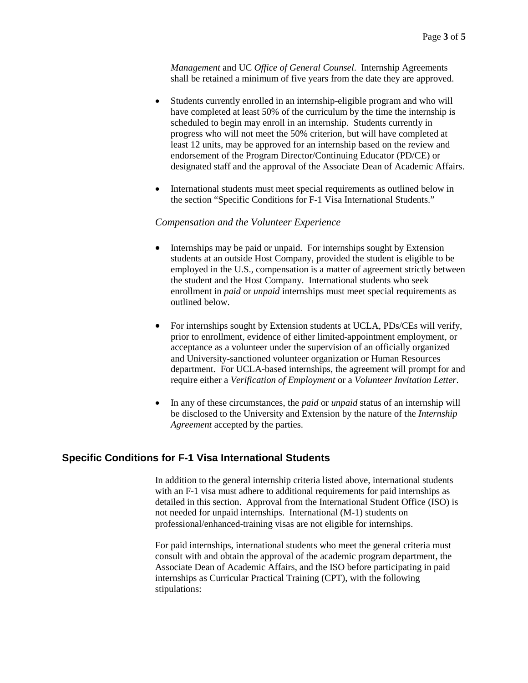*Management* and UC *Office of General Counsel*. Internship Agreements shall be retained a minimum of five years from the date they are approved.

- Students currently enrolled in an internship-eligible program and who will have completed at least 50% of the curriculum by the time the internship is scheduled to begin may enroll in an internship. Students currently in progress who will not meet the 50% criterion, but will have completed at least 12 units, may be approved for an internship based on the review and endorsement of the Program Director/Continuing Educator (PD/CE) or designated staff and the approval of the Associate Dean of Academic Affairs.
- International students must meet special requirements as outlined below in the section "Specific Conditions for F-1 Visa International Students."

#### *Compensation and the Volunteer Experience*

- Internships may be paid or unpaid. For internships sought by Extension students at an outside Host Company, provided the student is eligible to be employed in the U.S., compensation is a matter of agreement strictly between the student and the Host Company. International students who seek enrollment in *paid* or *unpaid* internships must meet special requirements as outlined below.
- For internships sought by Extension students at UCLA, PDs/CEs will verify, prior to enrollment, evidence of either limited-appointment employment, or acceptance as a volunteer under the supervision of an officially organized and University-sanctioned volunteer organization or Human Resources department. For UCLA-based internships, the agreement will prompt for and require either a *Verification of Employment* or a *Volunteer Invitation Letter*.
- In any of these circumstances, the *paid* or *unpaid* status of an internship will be disclosed to the University and Extension by the nature of the *Internship Agreement* accepted by the parties.

## **Specific Conditions for F-1 Visa International Students**

In addition to the general internship criteria listed above, international students with an F-1 visa must adhere to additional requirements for paid internships as detailed in this section. Approval from the International Student Office (ISO) is not needed for unpaid internships. International (M-1) students on professional/enhanced-training visas are not eligible for internships.

For paid internships, international students who meet the general criteria must consult with and obtain the approval of the academic program department, the Associate Dean of Academic Affairs, and the ISO before participating in paid internships as Curricular Practical Training (CPT), with the following stipulations: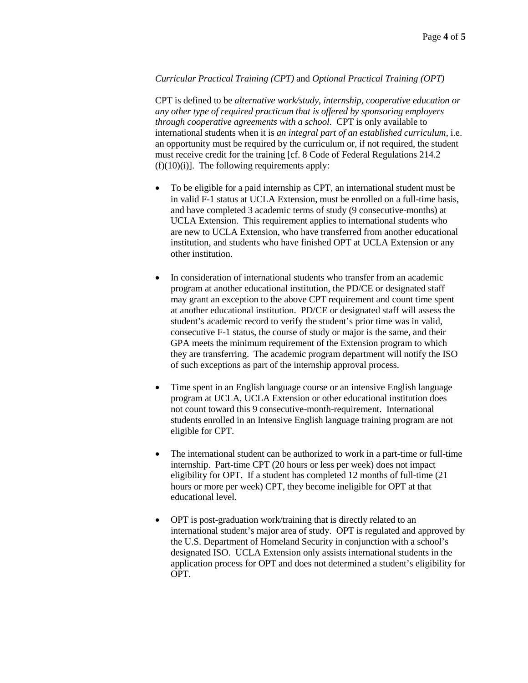### *Curricular Practical Training (CPT)* and *Optional Practical Training (OPT)*

CPT is defined to be *alternative work/study, internship, cooperative education or any other type of required practicum that is offered by sponsoring employers through cooperative agreements with a school*. CPT is only available to international students when it is *an integral part of an established curriculum*, i.e. an opportunity must be required by the curriculum or, if not required, the student must receive credit for the training [cf. 8 Code of Federal Regulations 214.2  $(f)(10)(i)$ . The following requirements apply:

- To be eligible for a paid internship as CPT, an international student must be in valid F-1 status at UCLA Extension, must be enrolled on a full-time basis, and have completed 3 academic terms of study (9 consecutive-months) at UCLA Extension. This requirement applies to international students who are new to UCLA Extension, who have transferred from another educational institution, and students who have finished OPT at UCLA Extension or any other institution.
- In consideration of international students who transfer from an academic program at another educational institution, the PD/CE or designated staff may grant an exception to the above CPT requirement and count time spent at another educational institution. PD/CE or designated staff will assess the student's academic record to verify the student's prior time was in valid, consecutive F-1 status, the course of study or major is the same, and their GPA meets the minimum requirement of the Extension program to which they are transferring. The academic program department will notify the ISO of such exceptions as part of the internship approval process.
- Time spent in an English language course or an intensive English language program at UCLA, UCLA Extension or other educational institution does not count toward this 9 consecutive-month-requirement. International students enrolled in an Intensive English language training program are not eligible for CPT.
- The international student can be authorized to work in a part-time or full-time internship. Part-time CPT (20 hours or less per week) does not impact eligibility for OPT. If a student has completed 12 months of full-time (21 hours or more per week) CPT, they become ineligible for OPT at that educational level.
- OPT is post-graduation work/training that is directly related to an international student's major area of study. OPT is regulated and approved by the U.S. Department of Homeland Security in conjunction with a school's designated ISO. UCLA Extension only assists international students in the application process for OPT and does not determined a student's eligibility for OPT.